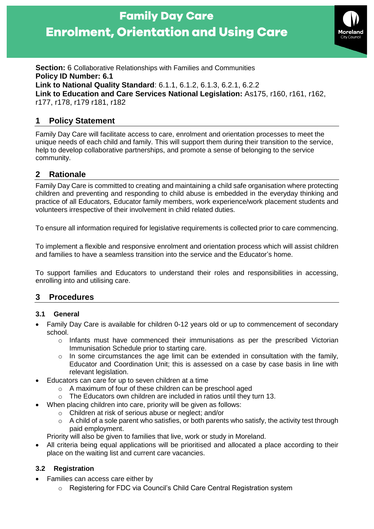# **Family Day Care Enrolment, Orientation and Using Care**



**Section:** 6 Collaborative Relationships with Families and Communities **Policy ID Number: 6.1 Link to National Quality Standard**: 6.1.1, 6.1.2, 6.1.3, 6.2.1, 6.2.2 **Link to Education and Care Services National Legislation:** As175, r160, r161, r162, r177, r178, r179 r181, r182

# **1 Policy Statement**

Family Day Care will facilitate access to care, enrolment and orientation processes to meet the unique needs of each child and family. This will support them during their transition to the service, help to develop collaborative partnerships, and promote a sense of belonging to the service community.

# **2 Rationale**

Family Day Care is committed to creating and maintaining a child safe organisation where protecting children and preventing and responding to child abuse is embedded in the everyday thinking and practice of all Educators, Educator family members, work experience/work placement students and volunteers irrespective of their involvement in child related duties.

To ensure all information required for legislative requirements is collected prior to care commencing.

To implement a flexible and responsive enrolment and orientation process which will assist children and families to have a seamless transition into the service and the Educator's home.

To support families and Educators to understand their roles and responsibilities in accessing, enrolling into and utilising care.

# **3 Procedures**

## **3.1 General**

- Family Day Care is available for children 0-12 years old or up to commencement of secondary school.
	- o Infants must have commenced their immunisations as per the prescribed Victorian Immunisation Schedule prior to starting care.
	- $\circ$  In some circumstances the age limit can be extended in consultation with the family, Educator and Coordination Unit; this is assessed on a case by case basis in line with relevant legislation.
- Educators can care for up to seven children at a time
	- o A maximum of four of these children can be preschool aged
	- o The Educators own children are included in ratios until they turn 13.
- When placing children into care, priority will be given as follows:
	- o Children at risk of serious abuse or neglect; and/or
	- $\circ$  A child of a sole parent who satisfies, or both parents who satisfy, the activity test through paid employment.

Priority will also be given to families that live, work or study in Moreland.

• All criteria being equal applications will be prioritised and allocated a place according to their place on the waiting list and current care vacancies.

## **3.2 Registration**

- Families can access care either by
	- o Registering for FDC via Council's Child Care Central Registration system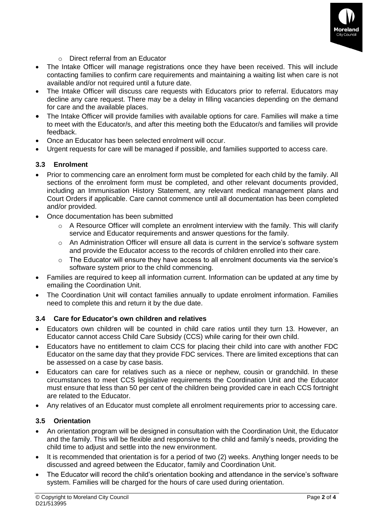

- o Direct referral from an Educator
- The Intake Officer will manage registrations once they have been received. This will include contacting families to confirm care requirements and maintaining a waiting list when care is not available and/or not required until a future date.
- The Intake Officer will discuss care requests with Educators prior to referral. Educators may decline any care request. There may be a delay in filling vacancies depending on the demand for care and the available places.
- The Intake Officer will provide families with available options for care. Families will make a time to meet with the Educator/s, and after this meeting both the Educator/s and families will provide feedback.
- Once an Educator has been selected enrolment will occur.
- Urgent requests for care will be managed if possible, and families supported to access care.

#### **3.3 Enrolment**

- Prior to commencing care an enrolment form must be completed for each child by the family. All sections of the enrolment form must be completed, and other relevant documents provided, including an Immunisation History Statement, any relevant medical management plans and Court Orders if applicable. Care cannot commence until all documentation has been completed and/or provided.
- Once documentation has been submitted
	- $\circ$  A Resource Officer will complete an enrolment interview with the family. This will clarify service and Educator requirements and answer questions for the family.
	- $\circ$  An Administration Officer will ensure all data is current in the service's software system and provide the Educator access to the records of children enrolled into their care.
	- $\circ$  The Educator will ensure they have access to all enrolment documents via the service's software system prior to the child commencing.
- Families are required to keep all information current. Information can be updated at any time by emailing the Coordination Unit.
- The Coordination Unit will contact families annually to update enrolment information. Families need to complete this and return it by the due date.

## **3.4 Care for Educator's own children and relatives**

- Educators own children will be counted in child care ratios until they turn 13. However, an Educator cannot access Child Care Subsidy (CCS) while caring for their own child.
- Educators have no entitlement to claim CCS for placing their child into care with another FDC Educator on the same day that they provide FDC services. There are limited exceptions that can be assessed on a case by case basis.
- Educators can care for relatives such as a niece or nephew, cousin or grandchild. In these circumstances to meet CCS legislative requirements the Coordination Unit and the Educator must ensure that less than 50 per cent of the children being provided care in each CCS fortnight are related to the Educator.
- Any relatives of an Educator must complete all enrolment requirements prior to accessing care.

## **3.5 Orientation**

- An orientation program will be designed in consultation with the Coordination Unit, the Educator and the family. This will be flexible and responsive to the child and family's needs, providing the child time to adjust and settle into the new environment.
- It is recommended that orientation is for a period of two (2) weeks. Anything longer needs to be discussed and agreed between the Educator, family and Coordination Unit.
- The Educator will record the child's orientation booking and attendance in the service's software system. Families will be charged for the hours of care used during orientation.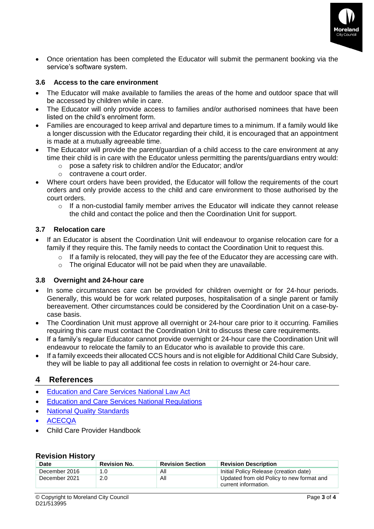

• Once orientation has been completed the Educator will submit the permanent booking via the service's software system.

#### **3.6 Access to the care environment**

- The Educator will make available to families the areas of the home and outdoor space that will be accessed by children while in care.
- The Educator will only provide access to families and/or authorised nominees that have been listed on the child's enrolment form.
- Families are encouraged to keep arrival and departure times to a minimum. If a family would like a longer discussion with the Educator regarding their child, it is encouraged that an appointment is made at a mutually agreeable time.
- The Educator will provide the parent/guardian of a child access to the care environment at any time their child is in care with the Educator unless permitting the parents/guardians entry would:
	- o pose a safety risk to children and/or the Educator; and/or
	- o contravene a court order.
- Where court orders have been provided, the Educator will follow the requirements of the court orders and only provide access to the child and care environment to those authorised by the court orders.
	- $\circ$  If a non-custodial family member arrives the Educator will indicate they cannot release the child and contact the police and then the Coordination Unit for support.

#### **3.7 Relocation care**

- If an Educator is absent the Coordination Unit will endeavour to organise relocation care for a family if they require this. The family needs to contact the Coordination Unit to request this.
	- o If a family is relocated, they will pay the fee of the Educator they are accessing care with.
	- o The original Educator will not be paid when they are unavailable.

#### **3.8 Overnight and 24-hour care**

- In some circumstances care can be provided for children overnight or for 24-hour periods. Generally, this would be for work related purposes, hospitalisation of a single parent or family bereavement. Other circumstances could be considered by the Coordination Unit on a case-bycase basis.
- The Coordination Unit must approve all overnight or 24-hour care prior to it occurring. Families requiring this care must contact the Coordination Unit to discuss these care requirements.
- If a family's regular Educator cannot provide overnight or 24-hour care the Coordination Unit will endeavour to relocate the family to an Educator who is available to provide this care.
- If a family exceeds their allocated CCS hours and is not eligible for Additional Child Care Subsidy, they will be liable to pay all additional fee costs in relation to overnight or 24-hour care.

## **4 References**

- [Education and Care Services National Law Act](https://www.acecqa.gov.au/nqf/national-law-regulations/national-law)
- [Education and Care Services National Regulations](https://www.acecqa.gov.au/nqf/national-law-regulations/national-regulations)
- [National Quality Standards](https://www.acecqa.gov.au/nqf/national-quality-standard)
- [ACECQA](https://www.acecqa.gov.au/)
- Child Care Provider Handbook

#### **Revision History**

| Date          | <b>Revision No.</b> | <b>Revision Section</b> | <b>Revision Description</b>                                       |
|---------------|---------------------|-------------------------|-------------------------------------------------------------------|
| December 2016 | 1.0                 | Αll                     | Initial Policy Release (creation date)                            |
| December 2021 | 2.0                 | Αll                     | Updated from old Policy to new format and<br>current information. |